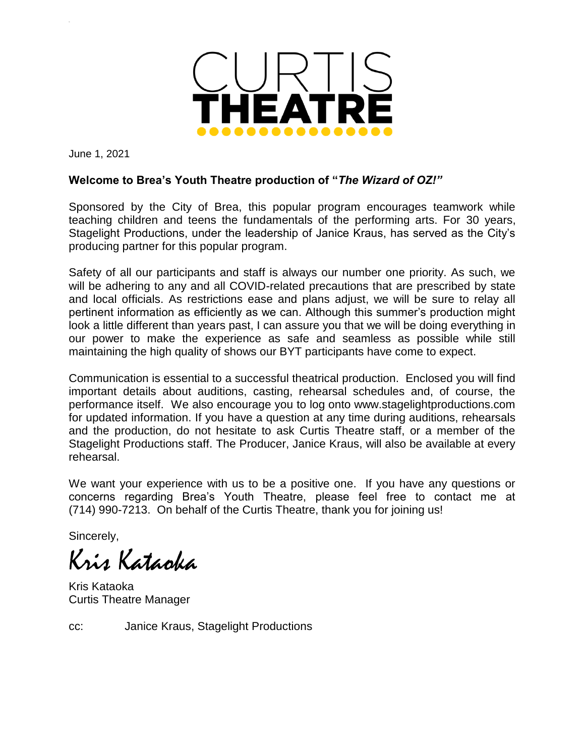

June 1, 2021

### **Welcome to Brea's Youth Theatre production of "***The Wizard of OZ!"*

Sponsored by the City of Brea, this popular program encourages teamwork while teaching children and teens the fundamentals of the performing arts. For 30 years, Stagelight Productions, under the leadership of Janice Kraus, has served as the City's producing partner for this popular program.

Safety of all our participants and staff is always our number one priority. As such, we will be adhering to any and all COVID-related precautions that are prescribed by state and local officials. As restrictions ease and plans adjust, we will be sure to relay all pertinent information as efficiently as we can. Although this summer's production might look a little different than years past, I can assure you that we will be doing everything in our power to make the experience as safe and seamless as possible while still maintaining the high quality of shows our BYT participants have come to expect.

Communication is essential to a successful theatrical production. Enclosed you will find important details about auditions, casting, rehearsal schedules and, of course, the performance itself. We also encourage you to log onto www.stagelightproductions.com for updated information. If you have a question at any time during auditions, rehearsals and the production, do not hesitate to ask Curtis Theatre staff, or a member of the Stagelight Productions staff. The Producer, Janice Kraus, will also be available at every rehearsal.

We want your experience with us to be a positive one. If you have any questions or concerns regarding Brea's Youth Theatre, please feel free to contact me at (714) 990-7213. On behalf of the Curtis Theatre, thank you for joining us!

Sincerely,

Kris Kataoka

Kris Kataoka Curtis Theatre Manager

cc: Janice Kraus, Stagelight Productions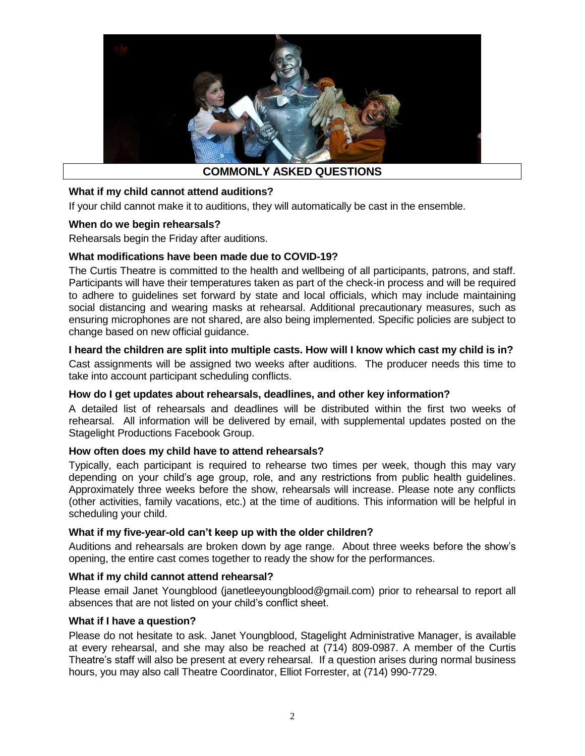

### **What if my child cannot attend auditions?**

If your child cannot make it to auditions, they will automatically be cast in the ensemble.

### **When do we begin rehearsals?**

Rehearsals begin the Friday after auditions.

### **What modifications have been made due to COVID-19?**

The Curtis Theatre is committed to the health and wellbeing of all participants, patrons, and staff. Participants will have their temperatures taken as part of the check-in process and will be required to adhere to guidelines set forward by state and local officials, which may include maintaining social distancing and wearing masks at rehearsal. Additional precautionary measures, such as ensuring microphones are not shared, are also being implemented. Specific policies are subject to change based on new official guidance.

### **I heard the children are split into multiple casts. How will I know which cast my child is in?**

Cast assignments will be assigned two weeks after auditions. The producer needs this time to take into account participant scheduling conflicts.

### **How do I get updates about rehearsals, deadlines, and other key information?**

A detailed list of rehearsals and deadlines will be distributed within the first two weeks of rehearsal. All information will be delivered by email, with supplemental updates posted on the Stagelight Productions Facebook Group.

### **How often does my child have to attend rehearsals?**

Typically, each participant is required to rehearse two times per week, though this may vary depending on your child's age group, role, and any restrictions from public health guidelines. Approximately three weeks before the show, rehearsals will increase. Please note any conflicts (other activities, family vacations, etc.) at the time of auditions. This information will be helpful in scheduling your child.

#### **What if my five-year-old can't keep up with the older children?**

Auditions and rehearsals are broken down by age range. About three weeks before the show's opening, the entire cast comes together to ready the show for the performances.

#### **What if my child cannot attend rehearsal?**

Please email Janet Youngblood (janetleeyoungblood@gmail.com) prior to rehearsal to report all absences that are not listed on your child's conflict sheet.

#### **What if I have a question?**

Please do not hesitate to ask. Janet Youngblood, Stagelight Administrative Manager, is available at every rehearsal, and she may also be reached at (714) 809-0987. A member of the Curtis Theatre's staff will also be present at every rehearsal. If a question arises during normal business hours, you may also call Theatre Coordinator, Elliot Forrester, at (714) 990-7729.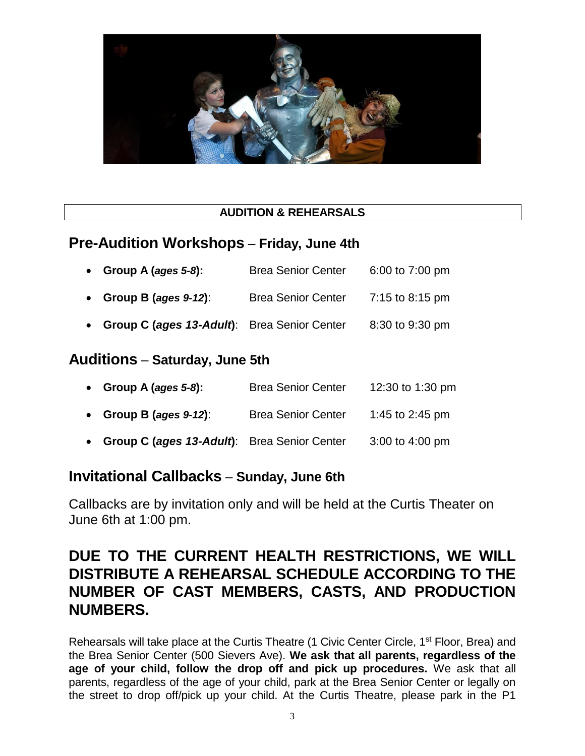

## **AUDITION & REHEARSALS**

## **Pre-Audition Workshops** – **Friday, June 4th**

| • Group A (ages $5-8$ ): | <b>Brea Senior Center</b> | 6:00 to 7:00 pm |
|--------------------------|---------------------------|-----------------|
| .                        | <u>.</u>                  |                 |

- **Group B (***ages 9-12***)**: Brea Senior Center 7:15 to 8:15 pm
- **Group C (***ages 13-Adult***)**: Brea Senior Center 8:30 to 9:30 pm

## **Auditions** – **Saturday, June 5th**

| • Group A (ages $5-8$ ):                            | <b>Brea Senior Center</b> | 12:30 to 1:30 pm  |
|-----------------------------------------------------|---------------------------|-------------------|
| • Group B (ages $9-12$ ):                           | <b>Brea Senior Center</b> | 1:45 to 2:45 pm   |
| <b>Group C (ages 13-Adult)</b> : Brea Senior Center |                           | $3:00$ to 4:00 pm |

# **Invitational Callbacks** – **Sunday, June 6th**

Callbacks are by invitation only and will be held at the Curtis Theater on June 6th at 1:00 pm.

# **DUE TO THE CURRENT HEALTH RESTRICTIONS, WE WILL DISTRIBUTE A REHEARSAL SCHEDULE ACCORDING TO THE NUMBER OF CAST MEMBERS, CASTS, AND PRODUCTION NUMBERS.**

Rehearsals will take place at the Curtis Theatre (1 Civic Center Circle, 1<sup>st</sup> Floor, Brea) and the Brea Senior Center (500 Sievers Ave). **We ask that all parents, regardless of the age of your child, follow the drop off and pick up procedures.** We ask that all parents, regardless of the age of your child, park at the Brea Senior Center or legally on the street to drop off/pick up your child. At the Curtis Theatre, please park in the P1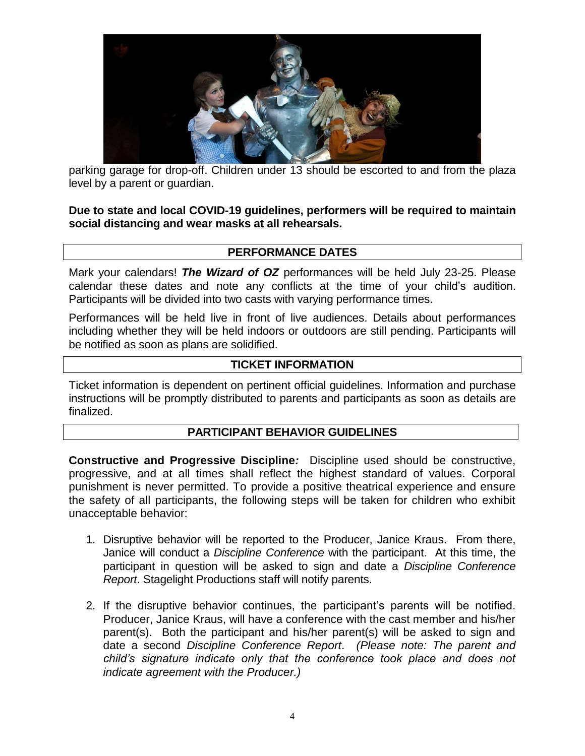

parking garage for drop-off. Children under 13 should be escorted to and from the plaza level by a parent or guardian.

**Due to state and local COVID-19 guidelines, performers will be required to maintain social distancing and wear masks at all rehearsals.** 

## **PERFORMANCE DATES**

Mark your calendars! *The Wizard of OZ* performances will be held July 23-25. Please calendar these dates and note any conflicts at the time of your child's audition. Participants will be divided into two casts with varying performance times.

Performances will be held live in front of live audiences. Details about performances including whether they will be held indoors or outdoors are still pending. Participants will be notified as soon as plans are solidified.

## **TICKET INFORMATION**

Ticket information is dependent on pertinent official guidelines. Information and purchase instructions will be promptly distributed to parents and participants as soon as details are finalized.

### **PARTICIPANT BEHAVIOR GUIDELINES**

**Constructive and Progressive Discipline***:* Discipline used should be constructive, progressive, and at all times shall reflect the highest standard of values. Corporal punishment is never permitted. To provide a positive theatrical experience and ensure the safety of all participants, the following steps will be taken for children who exhibit unacceptable behavior:

- 1. Disruptive behavior will be reported to the Producer, Janice Kraus. From there, Janice will conduct a *Discipline Conference* with the participant. At this time, the participant in question will be asked to sign and date a *Discipline Conference Report*. Stagelight Productions staff will notify parents.
- 2. If the disruptive behavior continues, the participant's parents will be notified. Producer, Janice Kraus, will have a conference with the cast member and his/her parent(s). Both the participant and his/her parent(s) will be asked to sign and date a second *Discipline Conference Report*. *(Please note: The parent and child's signature indicate only that the conference took place and does not indicate agreement with the Producer.)*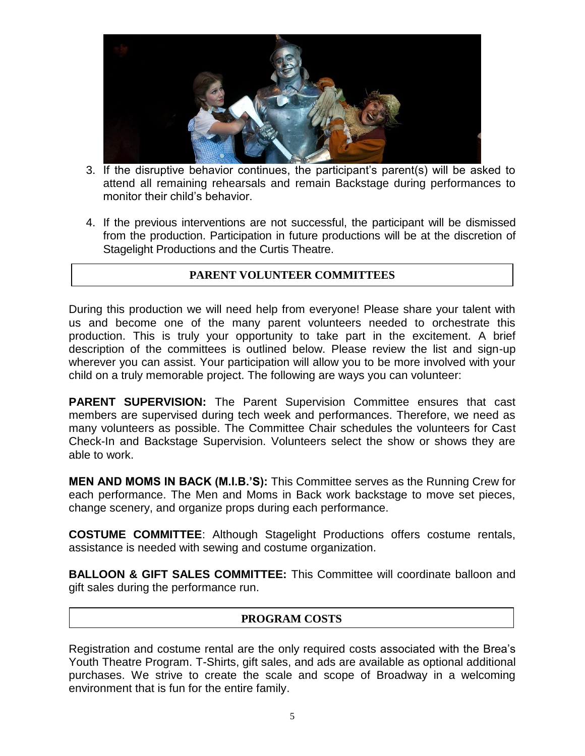

- 3. If the disruptive behavior continues, the participant's parent(s) will be asked to attend all remaining rehearsals and remain Backstage during performances to monitor their child's behavior.
- 4. If the previous interventions are not successful, the participant will be dismissed from the production. Participation in future productions will be at the discretion of Stagelight Productions and the Curtis Theatre.

### **PARENT VOLUNTEER COMMITTEES**

During this production we will need help from everyone! Please share your talent with us and become one of the many parent volunteers needed to orchestrate this production. This is truly your opportunity to take part in the excitement. A brief description of the committees is outlined below. Please review the list and sign-up wherever you can assist. Your participation will allow you to be more involved with your child on a truly memorable project. The following are ways you can volunteer:

**PARENT SUPERVISION:** The Parent Supervision Committee ensures that cast members are supervised during tech week and performances. Therefore, we need as many volunteers as possible. The Committee Chair schedules the volunteers for Cast Check-In and Backstage Supervision. Volunteers select the show or shows they are able to work.

**MEN AND MOMS IN BACK (M.I.B.'S):** This Committee serves as the Running Crew for each performance. The Men and Moms in Back work backstage to move set pieces, change scenery, and organize props during each performance.

**COSTUME COMMITTEE**: Although Stagelight Productions offers costume rentals, assistance is needed with sewing and costume organization.

**BALLOON & GIFT SALES COMMITTEE:** This Committee will coordinate balloon and gift sales during the performance run.

### **PROGRAM COSTS**

Registration and costume rental are the only required costs associated with the Brea's Youth Theatre Program. T-Shirts, gift sales, and ads are available as optional additional purchases. We strive to create the scale and scope of Broadway in a welcoming environment that is fun for the entire family.